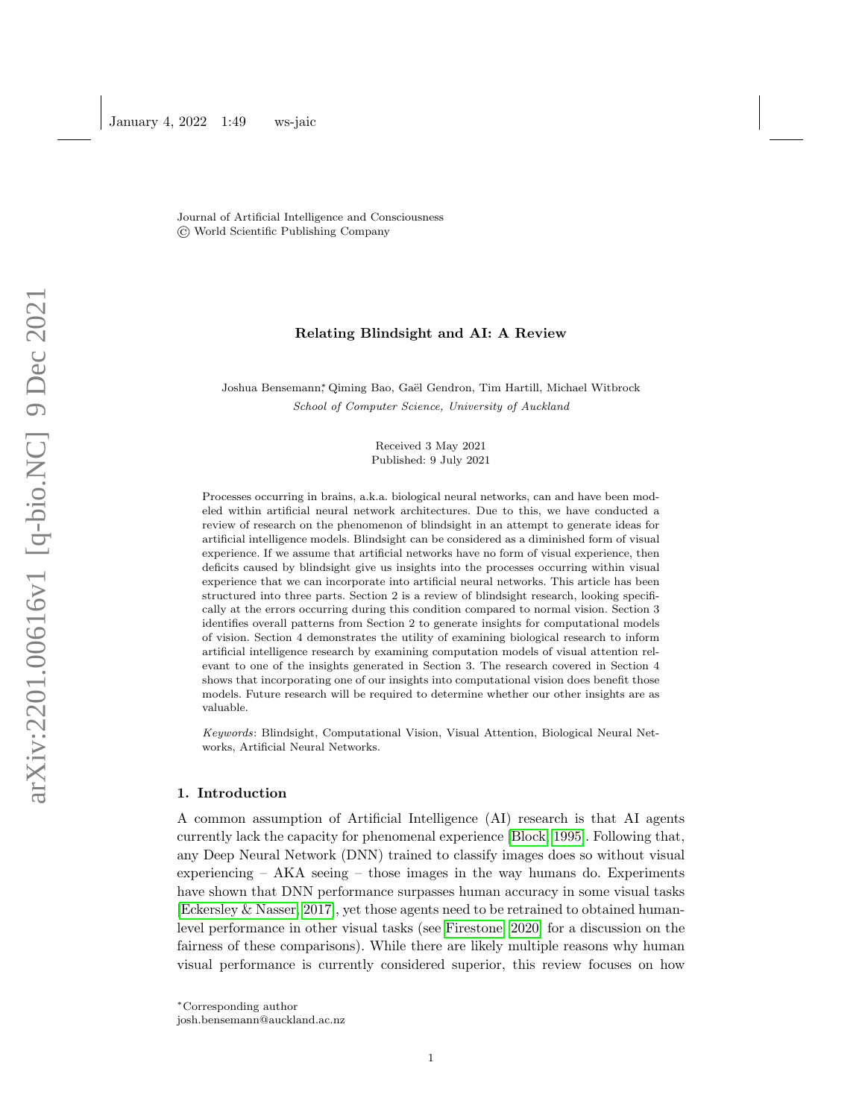Journal of Artificial Intelligence and Consciousness © World Scientific Publishing Company

# Relating Blindsight and AI: A Review

Joshua Bensemann\* Qiming Bao, Gaël Gendron, Tim Hartill, Michael Witbrock School of Computer Science, University of Auckland

> Received 3 May 2021 Published: 9 July 2021

Processes occurring in brains, a.k.a. biological neural networks, can and have been modeled within artificial neural network architectures. Due to this, we have conducted a review of research on the phenomenon of blindsight in an attempt to generate ideas for artificial intelligence models. Blindsight can be considered as a diminished form of visual experience. If we assume that artificial networks have no form of visual experience, then deficits caused by blindsight give us insights into the processes occurring within visual experience that we can incorporate into artificial neural networks. This article has been structured into three parts. Section 2 is a review of blindsight research, looking specifically at the errors occurring during this condition compared to normal vision. Section 3 identifies overall patterns from Section 2 to generate insights for computational models of vision. Section 4 demonstrates the utility of examining biological research to inform artificial intelligence research by examining computation models of visual attention relevant to one of the insights generated in Section 3. The research covered in Section 4 shows that incorporating one of our insights into computational vision does benefit those models. Future research will be required to determine whether our other insights are as valuable.

Keywords: Blindsight, Computational Vision, Visual Attention, Biological Neural Networks, Artificial Neural Networks.

### 1. Introduction

A common assumption of Artificial Intelligence (AI) research is that AI agents currently lack the capacity for phenomenal experience [\[Block, 1995\]](#page-11-0). Following that, any Deep Neural Network (DNN) trained to classify images does so without visual experiencing  $-$  AKA seeing  $-$  those images in the way humans do. Experiments have shown that DNN performance surpasses human accuracy in some visual tasks [\[Eckersley & Nasser, 2017\]](#page-12-0), yet those agents need to be retrained to obtained humanlevel performance in other visual tasks (see [Firestone](#page-12-1) [\[2020\]](#page-12-1) for a discussion on the fairness of these comparisons). While there are likely multiple reasons why human visual performance is currently considered superior, this review focuses on how

josh.bensemann@auckland.ac.nz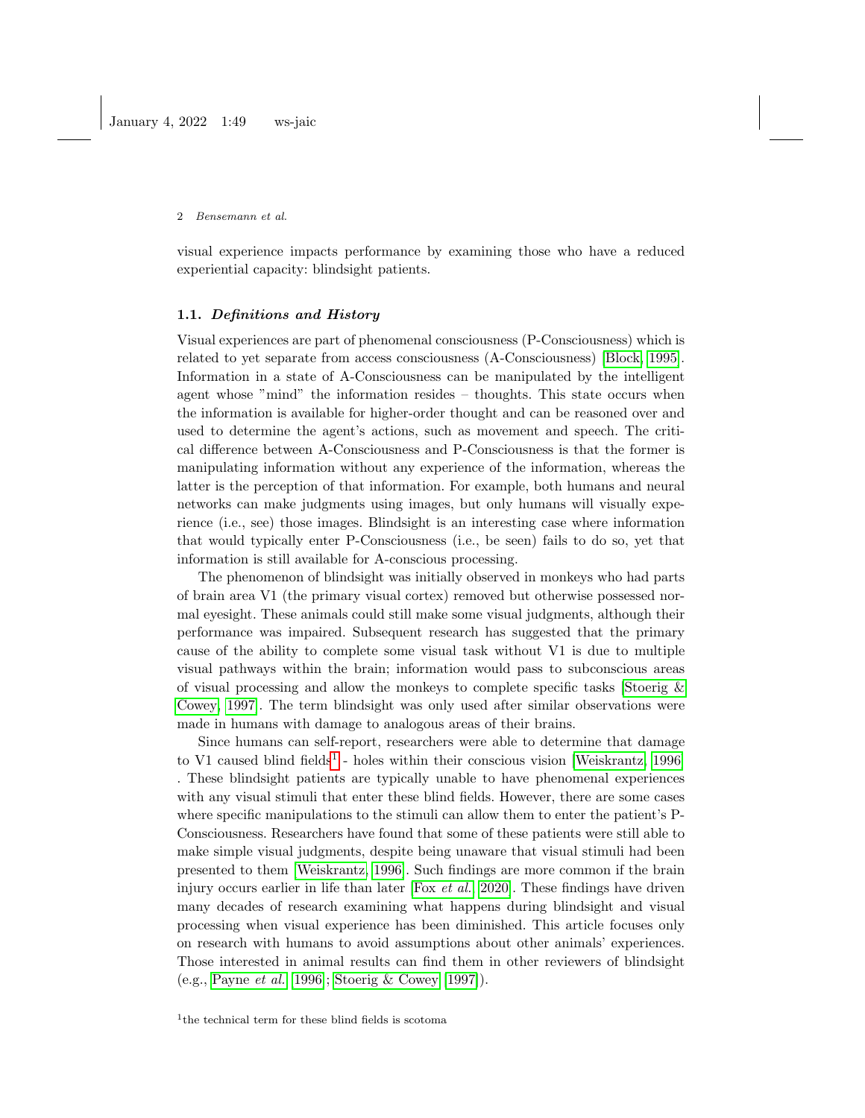visual experience impacts performance by examining those who have a reduced experiential capacity: blindsight patients.

### 1.1. Definitions and History

Visual experiences are part of phenomenal consciousness (P-Consciousness) which is related to yet separate from access consciousness (A-Consciousness) [\[Block, 1995\]](#page-11-0). Information in a state of A-Consciousness can be manipulated by the intelligent agent whose "mind" the information resides – thoughts. This state occurs when the information is available for higher-order thought and can be reasoned over and used to determine the agent's actions, such as movement and speech. The critical difference between A-Consciousness and P-Consciousness is that the former is manipulating information without any experience of the information, whereas the latter is the perception of that information. For example, both humans and neural networks can make judgments using images, but only humans will visually experience (i.e., see) those images. Blindsight is an interesting case where information that would typically enter P-Consciousness (i.e., be seen) fails to do so, yet that information is still available for A-conscious processing.

The phenomenon of blindsight was initially observed in monkeys who had parts of brain area V1 (the primary visual cortex) removed but otherwise possessed normal eyesight. These animals could still make some visual judgments, although their performance was impaired. Subsequent research has suggested that the primary cause of the ability to complete some visual task without V1 is due to multiple visual pathways within the brain; information would pass to subconscious areas of visual processing and allow the monkeys to complete specific tasks [Stoerig  $\&$ [Cowey, 1997\]](#page-14-0). The term blindsight was only used after similar observations were made in humans with damage to analogous areas of their brains.

<span id="page-1-0"></span>Since humans can self-report, researchers were able to determine that damage to V[1](#page-1-0) caused blind fields<sup>1</sup> - holes within their conscious vision [\[Weiskrantz, 1996\]](#page-14-1) . These blindsight patients are typically unable to have phenomenal experiences with any visual stimuli that enter these blind fields. However, there are some cases where specific manipulations to the stimuli can allow them to enter the patient's P-Consciousness. Researchers have found that some of these patients were still able to make simple visual judgments, despite being unaware that visual stimuli had been presented to them [\[Weiskrantz, 1996\]](#page-14-1). Such findings are more common if the brain injury occurs earlier in life than later  $[For *et al.*, 2020]$  $[For *et al.*, 2020]$  $[For *et al.*, 2020]$  $[For *et al.*, 2020]$ . These findings have driven many decades of research examining what happens during blindsight and visual processing when visual experience has been diminished. This article focuses only on research with humans to avoid assumptions about other animals' experiences. Those interested in animal results can find them in other reviewers of blindsight (e.g., [Payne](#page-13-1) et al. [\[1996\]](#page-13-1); [Stoerig & Cowey](#page-14-0) [\[1997\]](#page-14-0)).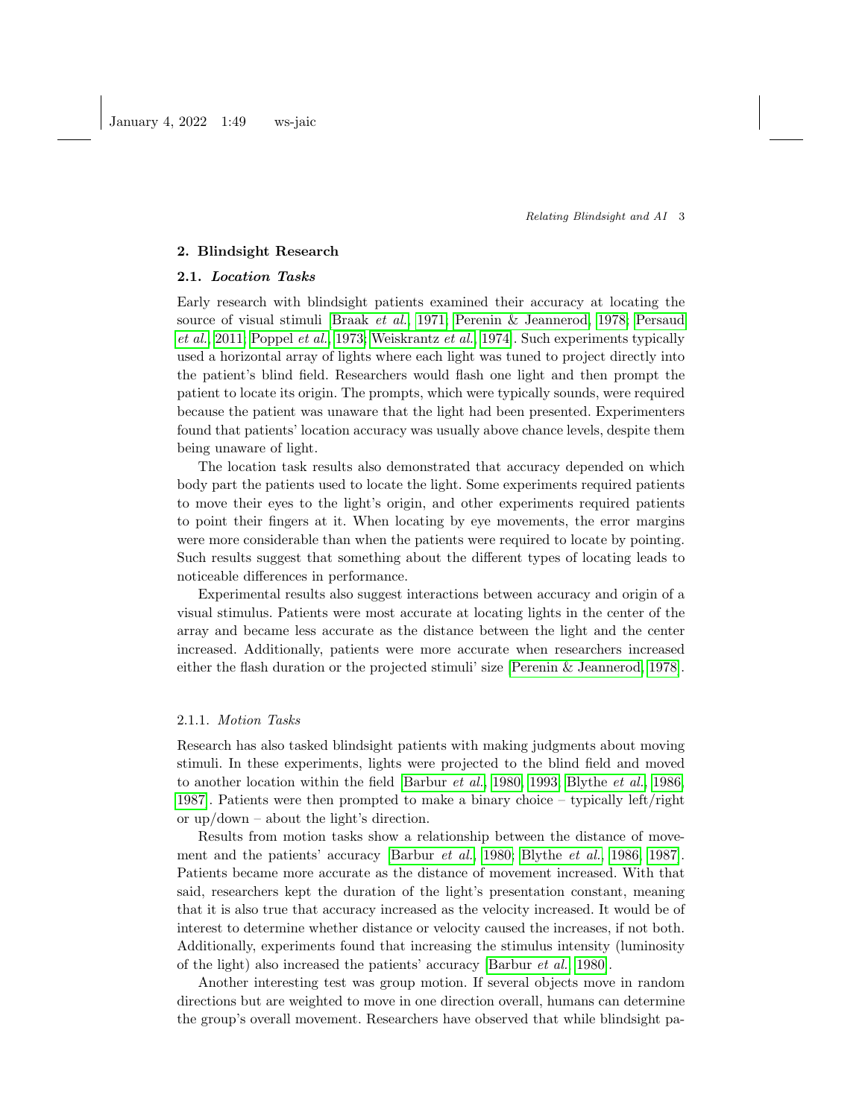### 2. Blindsight Research

# 2.1. Location Tasks

Early research with blindsight patients examined their accuracy at locating the source of visual stimuli [\[Braak](#page-12-2) et al., [1971;](#page-12-2) [Perenin & Jeannerod, 1978;](#page-13-2) [Persaud](#page-13-3) [et al.](#page-13-3), [2011;](#page-13-3) [Poppel](#page-13-4) et al., [1973;](#page-13-4) [Weiskrantz](#page-14-2) et al., [1974\]](#page-14-2). Such experiments typically used a horizontal array of lights where each light was tuned to project directly into the patient's blind field. Researchers would flash one light and then prompt the patient to locate its origin. The prompts, which were typically sounds, were required because the patient was unaware that the light had been presented. Experimenters found that patients' location accuracy was usually above chance levels, despite them being unaware of light.

The location task results also demonstrated that accuracy depended on which body part the patients used to locate the light. Some experiments required patients to move their eyes to the light's origin, and other experiments required patients to point their fingers at it. When locating by eye movements, the error margins were more considerable than when the patients were required to locate by pointing. Such results suggest that something about the different types of locating leads to noticeable differences in performance.

Experimental results also suggest interactions between accuracy and origin of a visual stimulus. Patients were most accurate at locating lights in the center of the array and became less accurate as the distance between the light and the center increased. Additionally, patients were more accurate when researchers increased either the flash duration or the projected stimuli' size [\[Perenin & Jeannerod, 1978\]](#page-13-2).

## 2.1.1. Motion Tasks

Research has also tasked blindsight patients with making judgments about moving stimuli. In these experiments, lights were projected to the blind field and moved to another location within the field [\[Barbur](#page-11-1) et al., [1980,](#page-11-1) [1993;](#page-11-2) [Blythe](#page-11-3) et al., [1986,](#page-11-3) [1987\]](#page-11-4). Patients were then prompted to make a binary choice – typically left/right or up/down – about the light's direction.

Results from motion tasks show a relationship between the distance of movement and the patients' accuracy [\[Barbur](#page-11-1) et al., [1980;](#page-11-1) [Blythe](#page-11-3) et al., [1986,](#page-11-3) [1987\]](#page-11-4). Patients became more accurate as the distance of movement increased. With that said, researchers kept the duration of the light's presentation constant, meaning that it is also true that accuracy increased as the velocity increased. It would be of interest to determine whether distance or velocity caused the increases, if not both. Additionally, experiments found that increasing the stimulus intensity (luminosity of the light) also increased the patients' accuracy [\[Barbur](#page-11-1) et al., [1980\]](#page-11-1).

Another interesting test was group motion. If several objects move in random directions but are weighted to move in one direction overall, humans can determine the group's overall movement. Researchers have observed that while blindsight pa-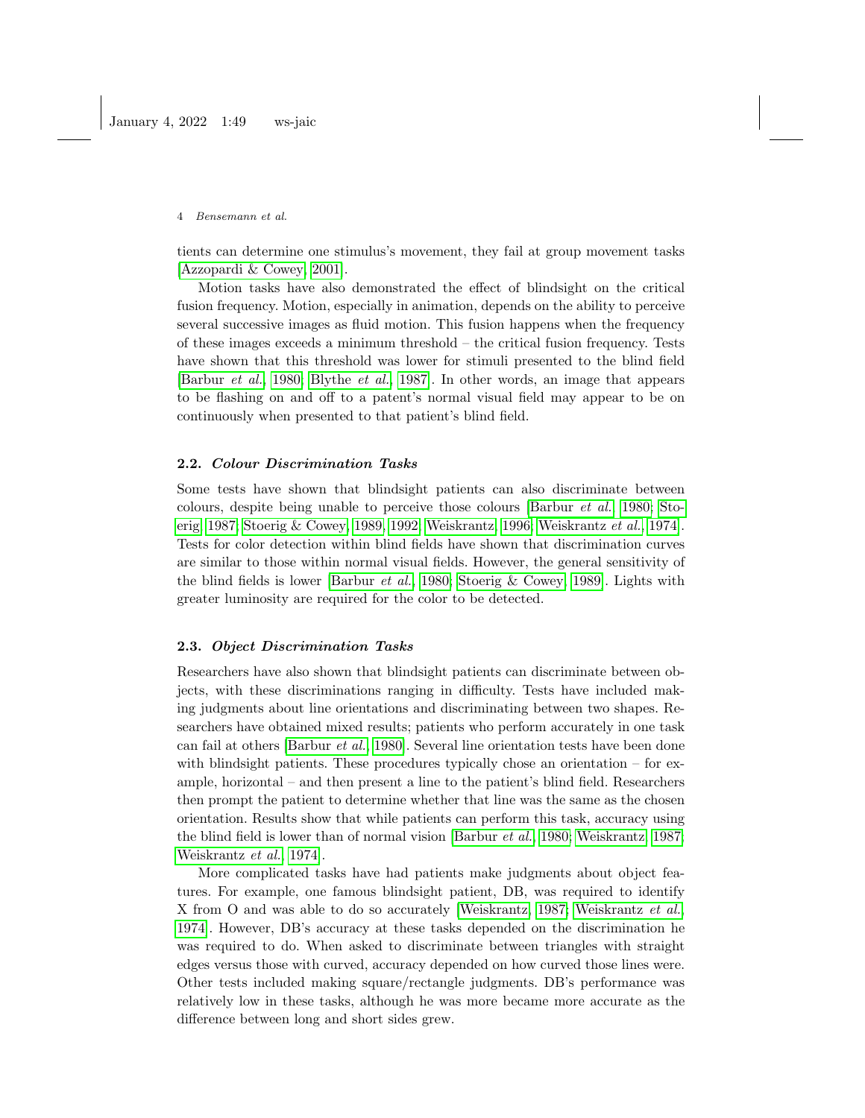tients can determine one stimulus's movement, they fail at group movement tasks [\[Azzopardi & Cowey, 2001\]](#page-11-5).

Motion tasks have also demonstrated the effect of blindsight on the critical fusion frequency. Motion, especially in animation, depends on the ability to perceive several successive images as fluid motion. This fusion happens when the frequency of these images exceeds a minimum threshold – the critical fusion frequency. Tests have shown that this threshold was lower for stimuli presented to the blind field [\[Barbur](#page-11-1) et al., [1980;](#page-11-1) [Blythe](#page-11-4) et al., [1987\]](#page-11-4). In other words, an image that appears to be flashing on and off to a patent's normal visual field may appear to be on continuously when presented to that patient's blind field.

### 2.2. Colour Discrimination Tasks

Some tests have shown that blindsight patients can also discriminate between colours, despite being unable to perceive those colours [\[Barbur](#page-11-1) et al., [1980;](#page-11-1) [Sto](#page-14-3)[erig, 1987;](#page-14-3) [Stoerig & Cowey, 1989,](#page-14-4) [1992;](#page-14-5) [Weiskrantz, 1996;](#page-14-1) [Weiskrantz](#page-14-2) et al., [1974\]](#page-14-2). Tests for color detection within blind fields have shown that discrimination curves are similar to those within normal visual fields. However, the general sensitivity of the blind fields is lower [\[Barbur](#page-11-1) et al., [1980;](#page-11-1) [Stoerig & Cowey, 1989\]](#page-14-4). Lights with greater luminosity are required for the color to be detected.

### 2.3. Object Discrimination Tasks

Researchers have also shown that blindsight patients can discriminate between objects, with these discriminations ranging in difficulty. Tests have included making judgments about line orientations and discriminating between two shapes. Researchers have obtained mixed results; patients who perform accurately in one task can fail at others [\[Barbur](#page-11-1) et al., [1980\]](#page-11-1). Several line orientation tests have been done with blindsight patients. These procedures typically chose an orientation  $-$  for example, horizontal – and then present a line to the patient's blind field. Researchers then prompt the patient to determine whether that line was the same as the chosen orientation. Results show that while patients can perform this task, accuracy using the blind field is lower than of normal vision [\[Barbur](#page-11-1) et al., [1980;](#page-11-1) [Weiskrantz, 1987;](#page-14-6) [Weiskrantz](#page-14-2) et al., [1974\]](#page-14-2).

More complicated tasks have had patients make judgments about object features. For example, one famous blindsight patient, DB, was required to identify X from O and was able to do so accurately [\[Weiskrantz, 1987;](#page-14-6) [Weiskrantz](#page-14-2) et al., [1974\]](#page-14-2). However, DB's accuracy at these tasks depended on the discrimination he was required to do. When asked to discriminate between triangles with straight edges versus those with curved, accuracy depended on how curved those lines were. Other tests included making square/rectangle judgments. DB's performance was relatively low in these tasks, although he was more became more accurate as the difference between long and short sides grew.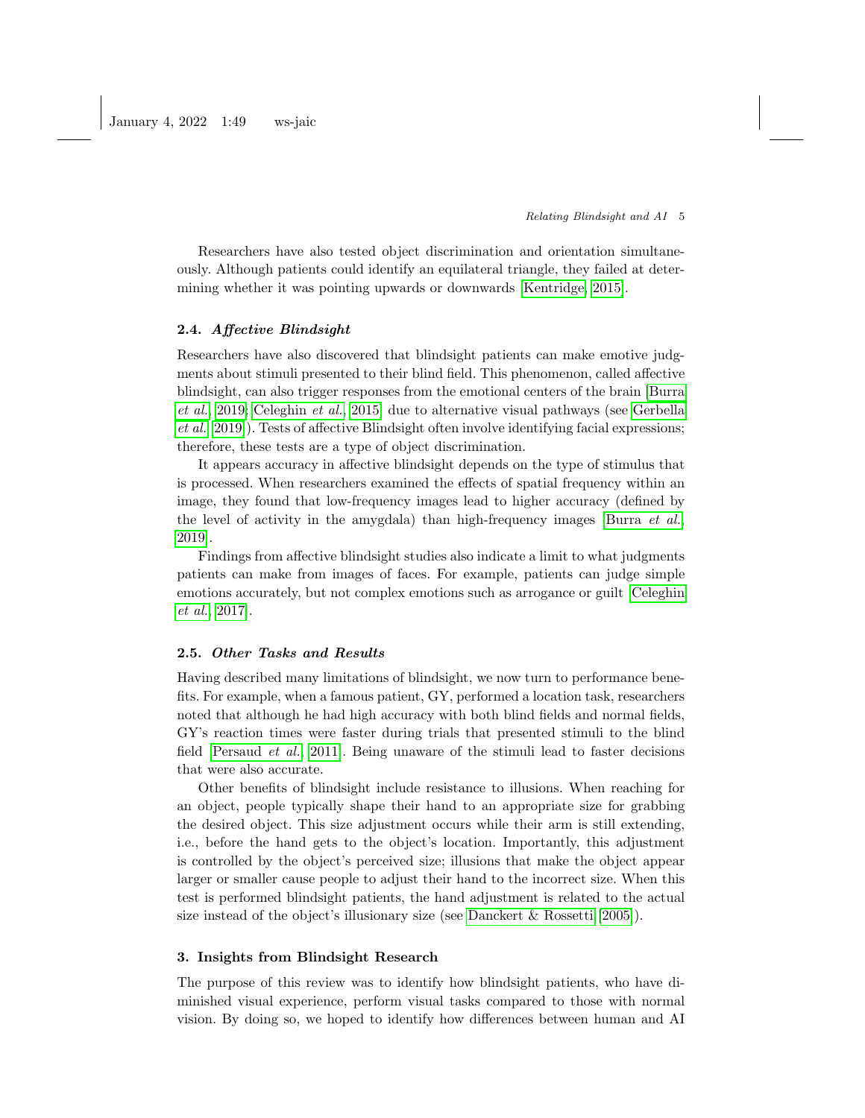Researchers have also tested object discrimination and orientation simultaneously. Although patients could identify an equilateral triangle, they failed at determining whether it was pointing upwards or downwards [\[Kentridge, 2015\]](#page-13-5).

#### 2.4. Affective Blindsight

Researchers have also discovered that blindsight patients can make emotive judgments about stimuli presented to their blind field. This phenomenon, called affective blindsight, can also trigger responses from the emotional centers of the brain [\[Burra](#page-12-3) [et al.](#page-12-3), [2019;](#page-12-3) [Celeghin](#page-12-4) et al., [2015\]](#page-12-4) due to alternative visual pathways (see [Gerbella](#page-13-6) [et al.](#page-13-6) [\[2019\]](#page-13-6)). Tests of affective Blindsight often involve identifying facial expressions; therefore, these tests are a type of object discrimination.

It appears accuracy in affective blindsight depends on the type of stimulus that is processed. When researchers examined the effects of spatial frequency within an image, they found that low-frequency images lead to higher accuracy (defined by the level of activity in the amygdala) than high-frequency images [\[Burra](#page-12-3)  $et al.,$ [2019\]](#page-12-3).

Findings from affective blindsight studies also indicate a limit to what judgments patients can make from images of faces. For example, patients can judge simple emotions accurately, but not complex emotions such as arrogance or guilt [\[Celeghin](#page-12-5) [et al.](#page-12-5), [2017\]](#page-12-5).

### 2.5. Other Tasks and Results

Having described many limitations of blindsight, we now turn to performance benefits. For example, when a famous patient, GY, performed a location task, researchers noted that although he had high accuracy with both blind fields and normal fields, GY's reaction times were faster during trials that presented stimuli to the blind field [\[Persaud](#page-13-3) et al., [2011\]](#page-13-3). Being unaware of the stimuli lead to faster decisions that were also accurate.

Other benefits of blindsight include resistance to illusions. When reaching for an object, people typically shape their hand to an appropriate size for grabbing the desired object. This size adjustment occurs while their arm is still extending, i.e., before the hand gets to the object's location. Importantly, this adjustment is controlled by the object's perceived size; illusions that make the object appear larger or smaller cause people to adjust their hand to the incorrect size. When this test is performed blindsight patients, the hand adjustment is related to the actual size instead of the object's illusionary size (see [Danckert & Rossetti](#page-12-6) [\[2005\]](#page-12-6)).

## 3. Insights from Blindsight Research

The purpose of this review was to identify how blindsight patients, who have diminished visual experience, perform visual tasks compared to those with normal vision. By doing so, we hoped to identify how differences between human and AI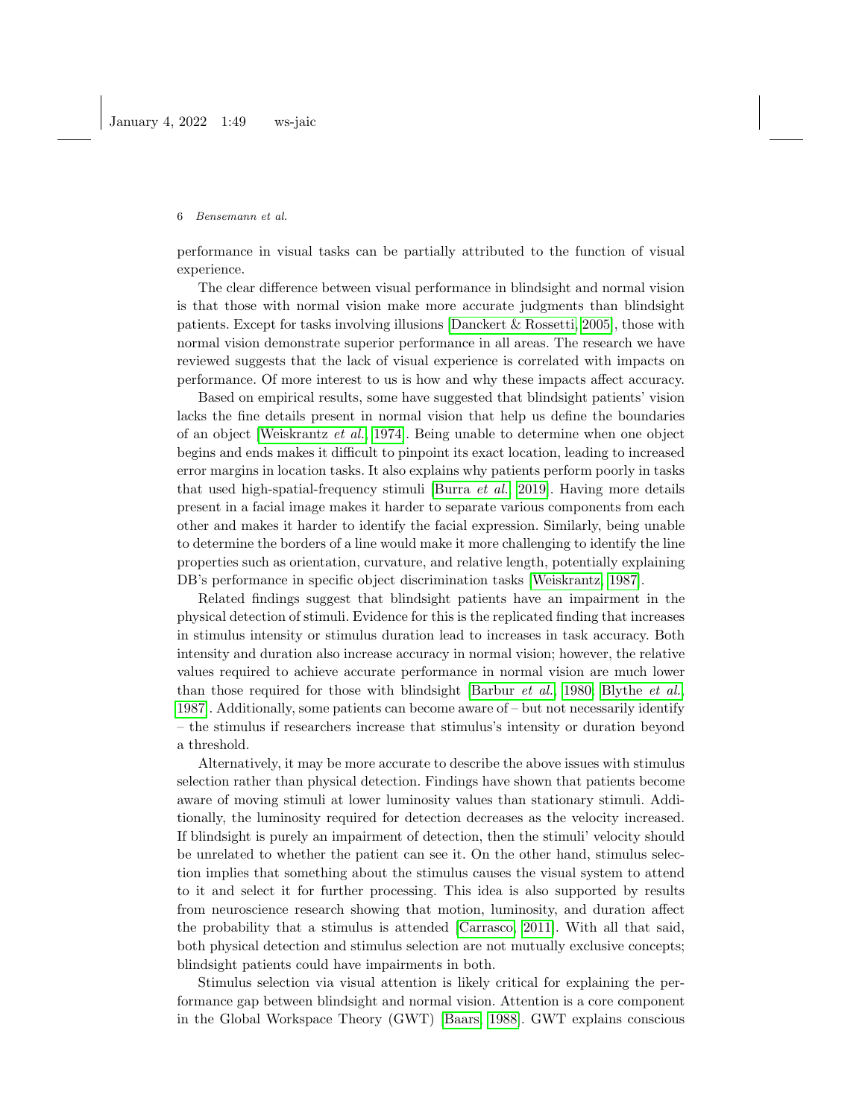performance in visual tasks can be partially attributed to the function of visual experience.

The clear difference between visual performance in blindsight and normal vision is that those with normal vision make more accurate judgments than blindsight patients. Except for tasks involving illusions [\[Danckert & Rossetti, 2005\]](#page-12-6), those with normal vision demonstrate superior performance in all areas. The research we have reviewed suggests that the lack of visual experience is correlated with impacts on performance. Of more interest to us is how and why these impacts affect accuracy.

Based on empirical results, some have suggested that blindsight patients' vision lacks the fine details present in normal vision that help us define the boundaries of an object [\[Weiskrantz](#page-14-2) et al., [1974\]](#page-14-2). Being unable to determine when one object begins and ends makes it difficult to pinpoint its exact location, leading to increased error margins in location tasks. It also explains why patients perform poorly in tasks that used high-spatial-frequency stimuli [\[Burra](#page-12-3) et al., [2019\]](#page-12-3). Having more details present in a facial image makes it harder to separate various components from each other and makes it harder to identify the facial expression. Similarly, being unable to determine the borders of a line would make it more challenging to identify the line properties such as orientation, curvature, and relative length, potentially explaining DB's performance in specific object discrimination tasks [\[Weiskrantz, 1987\]](#page-14-6).

Related findings suggest that blindsight patients have an impairment in the physical detection of stimuli. Evidence for this is the replicated finding that increases in stimulus intensity or stimulus duration lead to increases in task accuracy. Both intensity and duration also increase accuracy in normal vision; however, the relative values required to achieve accurate performance in normal vision are much lower than those required for those with blindsight [\[Barbur](#page-11-1) et al., [1980;](#page-11-1) [Blythe](#page-11-4) et al., [1987\]](#page-11-4). Additionally, some patients can become aware of – but not necessarily identify – the stimulus if researchers increase that stimulus's intensity or duration beyond a threshold.

Alternatively, it may be more accurate to describe the above issues with stimulus selection rather than physical detection. Findings have shown that patients become aware of moving stimuli at lower luminosity values than stationary stimuli. Additionally, the luminosity required for detection decreases as the velocity increased. If blindsight is purely an impairment of detection, then the stimuli' velocity should be unrelated to whether the patient can see it. On the other hand, stimulus selection implies that something about the stimulus causes the visual system to attend to it and select it for further processing. This idea is also supported by results from neuroscience research showing that motion, luminosity, and duration affect the probability that a stimulus is attended [\[Carrasco, 2011\]](#page-12-7). With all that said, both physical detection and stimulus selection are not mutually exclusive concepts; blindsight patients could have impairments in both.

Stimulus selection via visual attention is likely critical for explaining the performance gap between blindsight and normal vision. Attention is a core component in the Global Workspace Theory (GWT) [\[Baars, 1988\]](#page-11-6). GWT explains conscious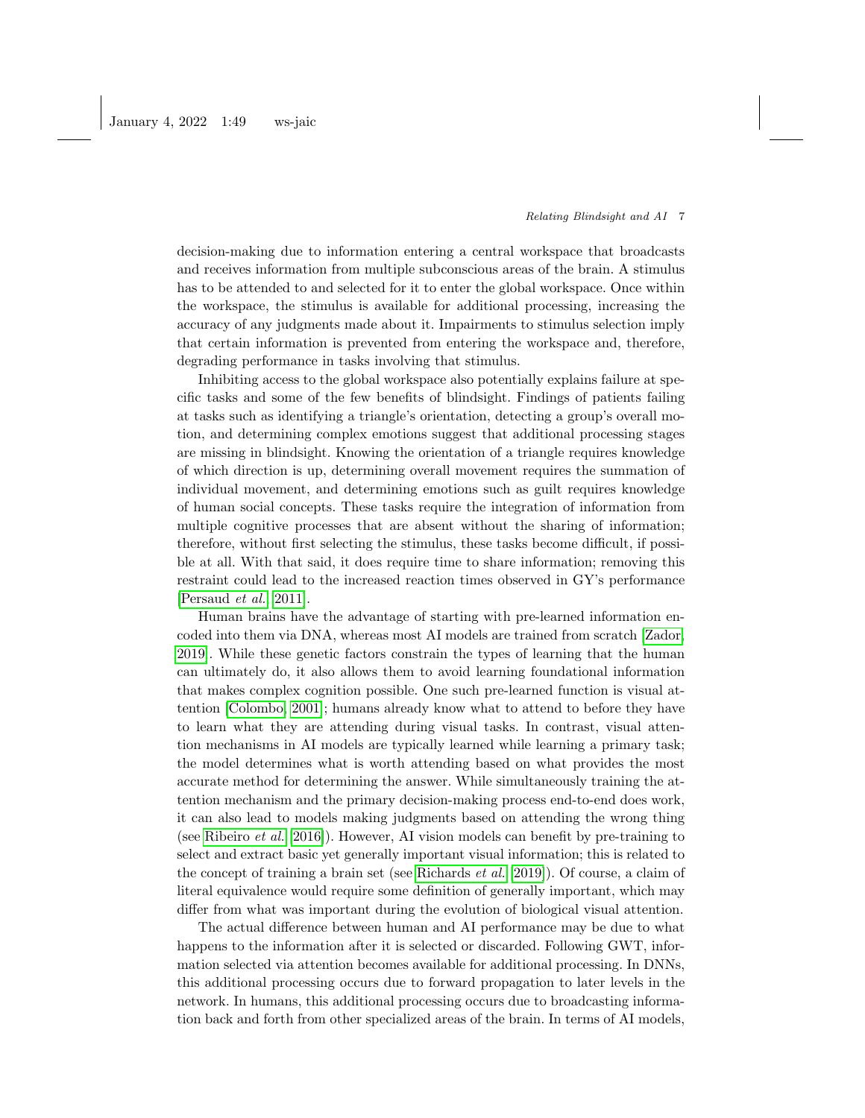decision-making due to information entering a central workspace that broadcasts and receives information from multiple subconscious areas of the brain. A stimulus has to be attended to and selected for it to enter the global workspace. Once within the workspace, the stimulus is available for additional processing, increasing the accuracy of any judgments made about it. Impairments to stimulus selection imply that certain information is prevented from entering the workspace and, therefore, degrading performance in tasks involving that stimulus.

Inhibiting access to the global workspace also potentially explains failure at specific tasks and some of the few benefits of blindsight. Findings of patients failing at tasks such as identifying a triangle's orientation, detecting a group's overall motion, and determining complex emotions suggest that additional processing stages are missing in blindsight. Knowing the orientation of a triangle requires knowledge of which direction is up, determining overall movement requires the summation of individual movement, and determining emotions such as guilt requires knowledge of human social concepts. These tasks require the integration of information from multiple cognitive processes that are absent without the sharing of information; therefore, without first selecting the stimulus, these tasks become difficult, if possible at all. With that said, it does require time to share information; removing this restraint could lead to the increased reaction times observed in GY's performance [\[Persaud](#page-13-3) et al., [2011\]](#page-13-3).

Human brains have the advantage of starting with pre-learned information encoded into them via DNA, whereas most AI models are trained from scratch [\[Zador,](#page-15-0) [2019\]](#page-15-0). While these genetic factors constrain the types of learning that the human can ultimately do, it also allows them to avoid learning foundational information that makes complex cognition possible. One such pre-learned function is visual attention [\[Colombo, 2001\]](#page-12-8); humans already know what to attend to before they have to learn what they are attending during visual tasks. In contrast, visual attention mechanisms in AI models are typically learned while learning a primary task; the model determines what is worth attending based on what provides the most accurate method for determining the answer. While simultaneously training the attention mechanism and the primary decision-making process end-to-end does work, it can also lead to models making judgments based on attending the wrong thing (see [Ribeiro](#page-14-7) et al. [\[2016\]](#page-14-7)). However, AI vision models can benefit by pre-training to select and extract basic yet generally important visual information; this is related to the concept of training a brain set (see [Richards](#page-14-8) et al. [\[2019\]](#page-14-8)). Of course, a claim of literal equivalence would require some definition of generally important, which may differ from what was important during the evolution of biological visual attention.

The actual difference between human and AI performance may be due to what happens to the information after it is selected or discarded. Following GWT, information selected via attention becomes available for additional processing. In DNNs, this additional processing occurs due to forward propagation to later levels in the network. In humans, this additional processing occurs due to broadcasting information back and forth from other specialized areas of the brain. In terms of AI models,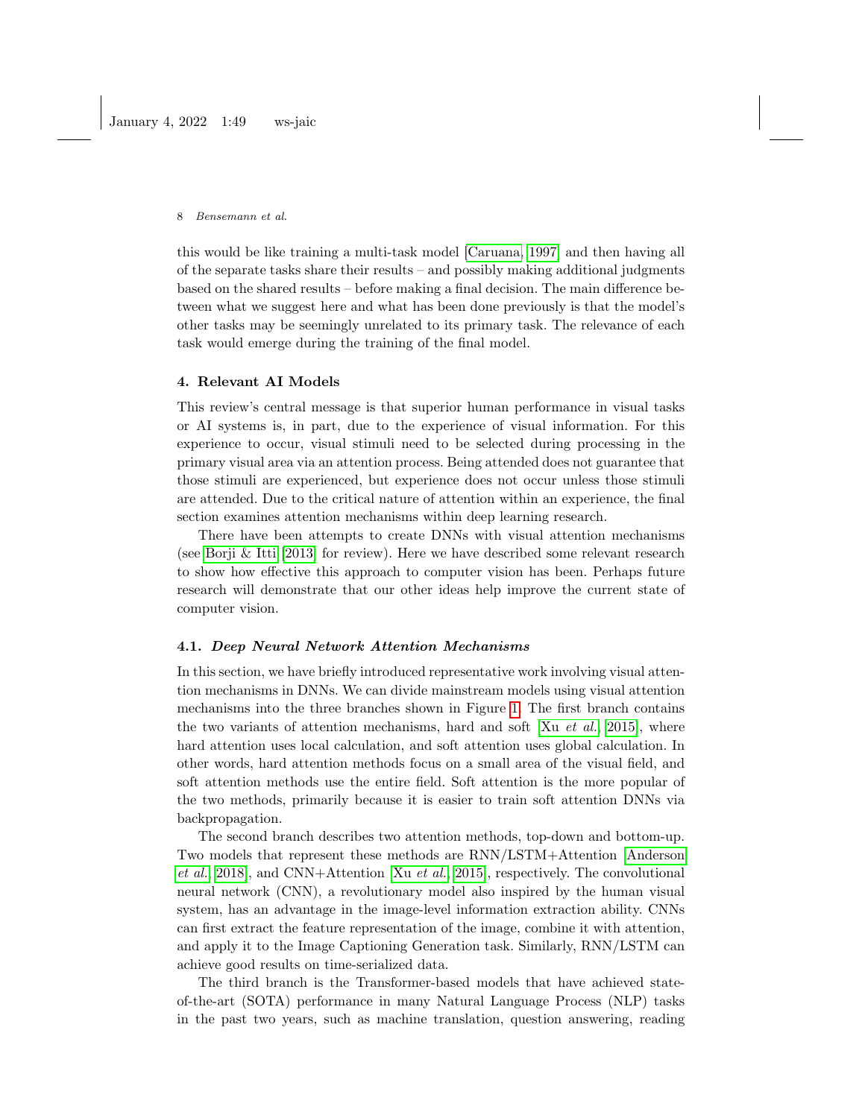this would be like training a multi-task model [\[Caruana, 1997\]](#page-12-9) and then having all of the separate tasks share their results – and possibly making additional judgments based on the shared results – before making a final decision. The main difference between what we suggest here and what has been done previously is that the model's other tasks may be seemingly unrelated to its primary task. The relevance of each task would emerge during the training of the final model.

## 4. Relevant AI Models

This review's central message is that superior human performance in visual tasks or AI systems is, in part, due to the experience of visual information. For this experience to occur, visual stimuli need to be selected during processing in the primary visual area via an attention process. Being attended does not guarantee that those stimuli are experienced, but experience does not occur unless those stimuli are attended. Due to the critical nature of attention within an experience, the final section examines attention mechanisms within deep learning research.

There have been attempts to create DNNs with visual attention mechanisms (see [Borji & Itti](#page-12-10) [\[2013\]](#page-12-10) for review). Here we have described some relevant research to show how effective this approach to computer vision has been. Perhaps future research will demonstrate that our other ideas help improve the current state of computer vision.

### 4.1. Deep Neural Network Attention Mechanisms

In this section, we have briefly introduced representative work involving visual attention mechanisms in DNNs. We can divide mainstream models using visual attention mechanisms into the three branches shown in Figure [1.](#page-8-0) The first branch contains the two variants of attention mechanisms, hard and soft  $[Xu \text{ et } al., 2015]$  $[Xu \text{ et } al., 2015]$ , where hard attention uses local calculation, and soft attention uses global calculation. In other words, hard attention methods focus on a small area of the visual field, and soft attention methods use the entire field. Soft attention is the more popular of the two methods, primarily because it is easier to train soft attention DNNs via backpropagation.

The second branch describes two attention methods, top-down and bottom-up. Two models that represent these methods are RNN/LSTM+Attention [\[Anderson](#page-11-7) [et al.](#page-11-7), [2018\]](#page-11-7), and CNN+Attention [Xu [et al.](#page-14-9), [2015\]](#page-14-9), respectively. The convolutional neural network (CNN), a revolutionary model also inspired by the human visual system, has an advantage in the image-level information extraction ability. CNNs can first extract the feature representation of the image, combine it with attention, and apply it to the Image Captioning Generation task. Similarly, RNN/LSTM can achieve good results on time-serialized data.

The third branch is the Transformer-based models that have achieved stateof-the-art (SOTA) performance in many Natural Language Process (NLP) tasks in the past two years, such as machine translation, question answering, reading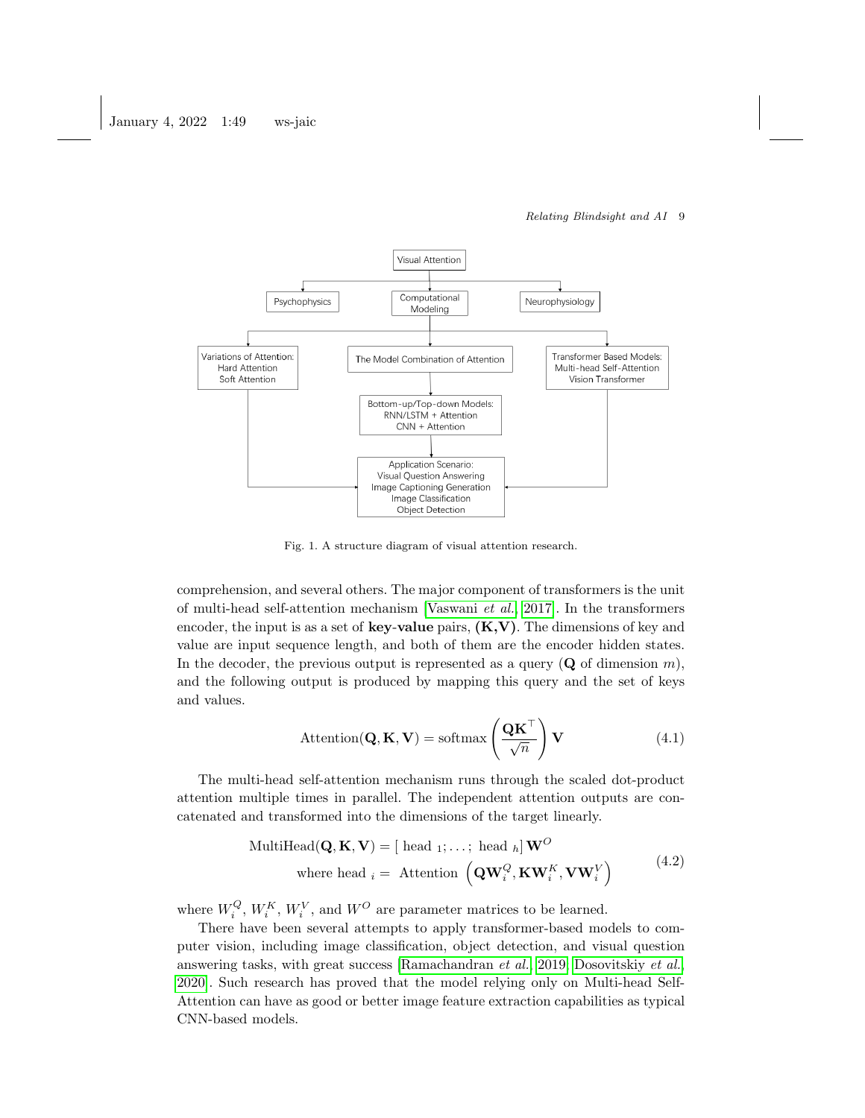

<span id="page-8-0"></span>Fig. 1. A structure diagram of visual attention research.

comprehension, and several others. The major component of transformers is the unit of multi-head self-attention mechanism [\[Vaswani](#page-14-10) et al., [2017\]](#page-14-10). In the transformers encoder, the input is as a set of key-value pairs,  $(K, V)$ . The dimensions of key and value are input sequence length, and both of them are the encoder hidden states. In the decoder, the previous output is represented as a query  $(Q$  of dimension m), and the following output is produced by mapping this query and the set of keys and values.

$$
Attention(\mathbf{Q}, \mathbf{K}, \mathbf{V}) = softmax\left(\frac{\mathbf{Q}\mathbf{K}^{\top}}{\sqrt{n}}\right)\mathbf{V}
$$
\n(4.1)

The multi-head self-attention mechanism runs through the scaled dot-product attention multiple times in parallel. The independent attention outputs are concatenated and transformed into the dimensions of the target linearly.

$$
\text{MultiHead}(\mathbf{Q}, \mathbf{K}, \mathbf{V}) = [\text{ head }_1; \dots; \text{ head }_h] \mathbf{W}^O
$$
\n
$$
\text{where head }_i = \text{Attention } (\mathbf{Q} \mathbf{W}_i^Q, \mathbf{K} \mathbf{W}_i^K, \mathbf{V} \mathbf{W}_i^V)
$$
\n
$$
(4.2)
$$

where  $W_i^Q$ ,  $W_i^K$ ,  $W_i^V$ , and  $W^O$  are parameter matrices to be learned.

There have been several attempts to apply transformer-based models to computer vision, including image classification, object detection, and visual question answering tasks, with great success [\[Ramachandran](#page-14-11) et al., [2019;](#page-14-11) [Dosovitskiy](#page-12-11) et al., [2020\]](#page-12-11). Such research has proved that the model relying only on Multi-head Self-Attention can have as good or better image feature extraction capabilities as typical CNN-based models.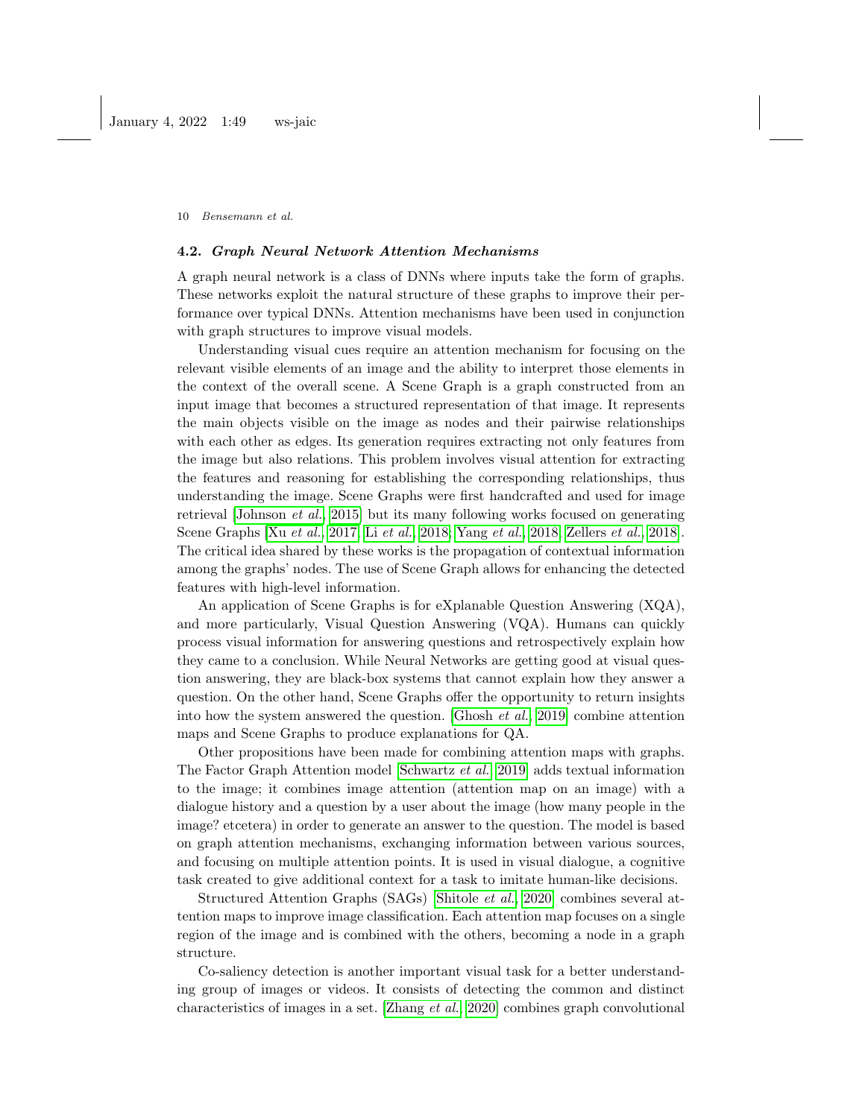#### 4.2. Graph Neural Network Attention Mechanisms

A graph neural network is a class of DNNs where inputs take the form of graphs. These networks exploit the natural structure of these graphs to improve their performance over typical DNNs. Attention mechanisms have been used in conjunction with graph structures to improve visual models.

Understanding visual cues require an attention mechanism for focusing on the relevant visible elements of an image and the ability to interpret those elements in the context of the overall scene. A Scene Graph is a graph constructed from an input image that becomes a structured representation of that image. It represents the main objects visible on the image as nodes and their pairwise relationships with each other as edges. Its generation requires extracting not only features from the image but also relations. This problem involves visual attention for extracting the features and reasoning for establishing the corresponding relationships, thus understanding the image. Scene Graphs were first handcrafted and used for image retrieval [\[Johnson](#page-13-7) et al., [2015\]](#page-13-7) but its many following works focused on generating Scene Graphs [Xu [et al.](#page-14-12), [2017;](#page-14-12) Li [et al.](#page-13-8), [2018;](#page-13-8) [Yang](#page-15-1) et al., [2018;](#page-15-1) [Zellers](#page-15-2) et al., [2018\]](#page-15-2). The critical idea shared by these works is the propagation of contextual information among the graphs' nodes. The use of Scene Graph allows for enhancing the detected features with high-level information.

An application of Scene Graphs is for eXplanable Question Answering (XQA), and more particularly, Visual Question Answering (VQA). Humans can quickly process visual information for answering questions and retrospectively explain how they came to a conclusion. While Neural Networks are getting good at visual question answering, they are black-box systems that cannot explain how they answer a question. On the other hand, Scene Graphs offer the opportunity to return insights into how the system answered the question. [\[Ghosh](#page-13-9)  $et al., 2019$ ] combine attention maps and Scene Graphs to produce explanations for QA.

Other propositions have been made for combining attention maps with graphs. The Factor Graph Attention model [\[Schwartz](#page-14-13) et al., [2019\]](#page-14-13) adds textual information to the image; it combines image attention (attention map on an image) with a dialogue history and a question by a user about the image (how many people in the image? etcetera) in order to generate an answer to the question. The model is based on graph attention mechanisms, exchanging information between various sources, and focusing on multiple attention points. It is used in visual dialogue, a cognitive task created to give additional context for a task to imitate human-like decisions.

Structured Attention Graphs (SAGs) [\[Shitole](#page-14-14) et al., [2020\]](#page-14-14) combines several attention maps to improve image classification. Each attention map focuses on a single region of the image and is combined with the others, becoming a node in a graph structure.

Co-saliency detection is another important visual task for a better understanding group of images or videos. It consists of detecting the common and distinct characteristics of images in a set. [\[Zhang](#page-15-3) et al., [2020\]](#page-15-3) combines graph convolutional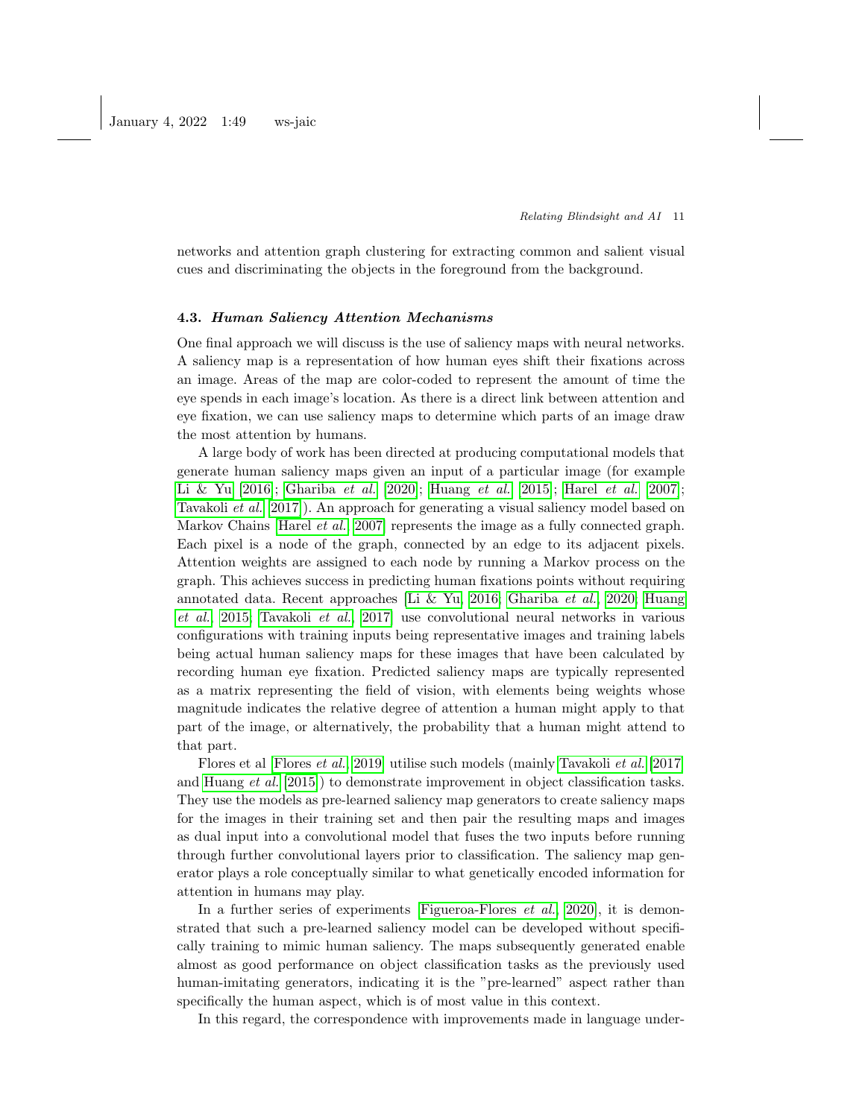networks and attention graph clustering for extracting common and salient visual cues and discriminating the objects in the foreground from the background.

## 4.3. Human Saliency Attention Mechanisms

One final approach we will discuss is the use of saliency maps with neural networks. A saliency map is a representation of how human eyes shift their fixations across an image. Areas of the map are color-coded to represent the amount of time the eye spends in each image's location. As there is a direct link between attention and eye fixation, we can use saliency maps to determine which parts of an image draw the most attention by humans.

A large body of work has been directed at producing computational models that generate human saliency maps given an input of a particular image (for example [Li & Yu](#page-13-10) [\[2016\]](#page-13-10); [Ghariba](#page-13-11) et al. [\[2020\]](#page-13-11); [Huang](#page-13-12) et al. [\[2015\]](#page-13-12); [Harel](#page-13-13) et al. [\[2007\]](#page-13-13); [Tavakoli](#page-14-15) et al. [\[2017\]](#page-14-15)). An approach for generating a visual saliency model based on Markov Chains [\[Harel](#page-13-13) *et al.*, [2007\]](#page-13-13) represents the image as a fully connected graph. Each pixel is a node of the graph, connected by an edge to its adjacent pixels. Attention weights are assigned to each node by running a Markov process on the graph. This achieves success in predicting human fixations points without requiring annotated data. Recent approaches [\[Li & Yu, 2016;](#page-13-10) [Ghariba](#page-13-11) et al., [2020;](#page-13-11) [Huang](#page-13-12) [et al.](#page-13-12), [2015;](#page-13-12) [Tavakoli](#page-14-15) et al., [2017\]](#page-14-15) use convolutional neural networks in various configurations with training inputs being representative images and training labels being actual human saliency maps for these images that have been calculated by recording human eye fixation. Predicted saliency maps are typically represented as a matrix representing the field of vision, with elements being weights whose magnitude indicates the relative degree of attention a human might apply to that part of the image, or alternatively, the probability that a human might attend to that part.

Flores et al [\[Flores](#page-12-12) et al., [2019\]](#page-12-12) utilise such models (mainly [Tavakoli](#page-14-15) et al. [\[2017\]](#page-14-15) and [Huang](#page-13-12) et al. [\[2015\]](#page-13-12)) to demonstrate improvement in object classification tasks. They use the models as pre-learned saliency map generators to create saliency maps for the images in their training set and then pair the resulting maps and images as dual input into a convolutional model that fuses the two inputs before running through further convolutional layers prior to classification. The saliency map generator plays a role conceptually similar to what genetically encoded information for attention in humans may play.

In a further series of experiments [\[Figueroa-Flores](#page-12-13) *et al.*, [2020\]](#page-12-13), it is demonstrated that such a pre-learned saliency model can be developed without specifically training to mimic human saliency. The maps subsequently generated enable almost as good performance on object classification tasks as the previously used human-imitating generators, indicating it is the "pre-learned" aspect rather than specifically the human aspect, which is of most value in this context.

In this regard, the correspondence with improvements made in language under-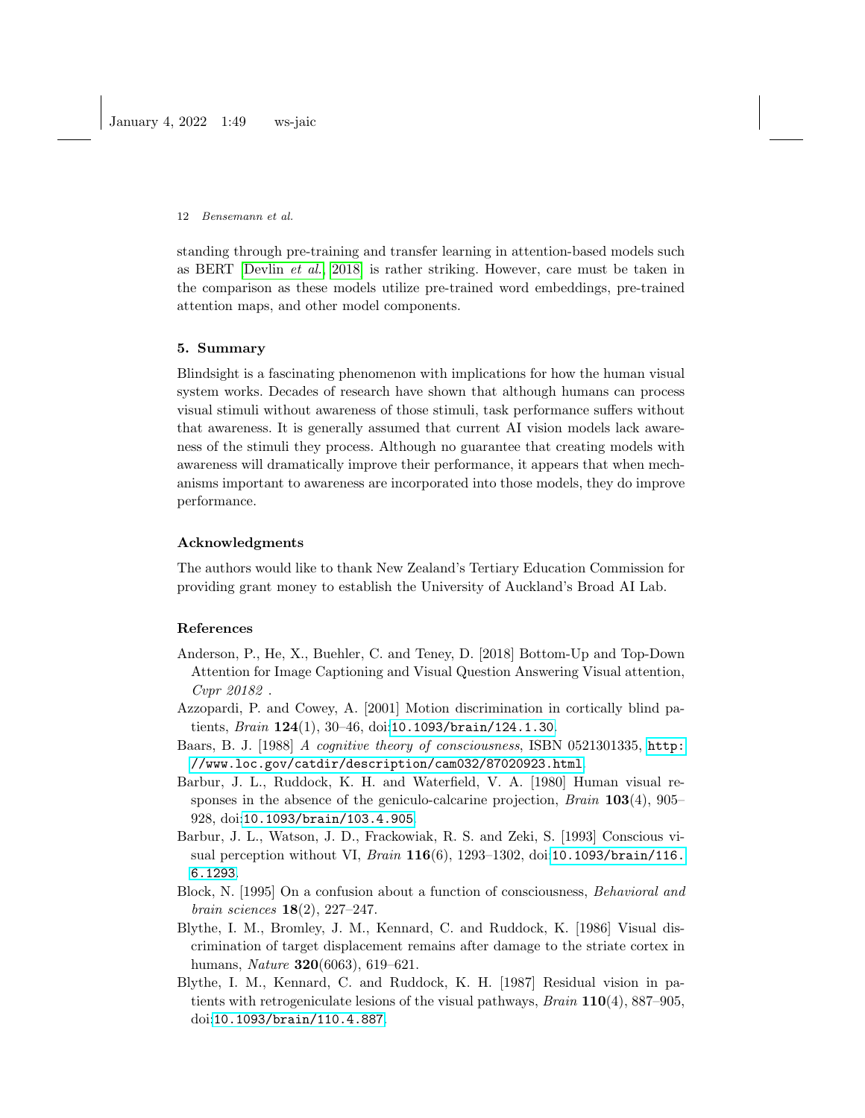standing through pre-training and transfer learning in attention-based models such as BERT [\[Devlin](#page-12-14) et al., [2018\]](#page-12-14) is rather striking. However, care must be taken in the comparison as these models utilize pre-trained word embeddings, pre-trained attention maps, and other model components.

## 5. Summary

Blindsight is a fascinating phenomenon with implications for how the human visual system works. Decades of research have shown that although humans can process visual stimuli without awareness of those stimuli, task performance suffers without that awareness. It is generally assumed that current AI vision models lack awareness of the stimuli they process. Although no guarantee that creating models with awareness will dramatically improve their performance, it appears that when mechanisms important to awareness are incorporated into those models, they do improve performance.

### Acknowledgments

The authors would like to thank New Zealand's Tertiary Education Commission for providing grant money to establish the University of Auckland's Broad AI Lab.

### References

- <span id="page-11-7"></span>Anderson, P., He, X., Buehler, C. and Teney, D. [2018] Bottom-Up and Top-Down Attention for Image Captioning and Visual Question Answering Visual attention, Cvpr 20182 .
- <span id="page-11-5"></span>Azzopardi, P. and Cowey, A. [2001] Motion discrimination in cortically blind patients, *Brain*  $124(1)$ ,  $30-46$ , doi:<10.1093/brain/124.1.30>.
- <span id="page-11-6"></span>Baars, B. J. [1988] A cognitive theory of consciousness, ISBN 0521301335, [http:](http://www.loc.gov/catdir/description/cam032/87020923.html) [//www.loc.gov/catdir/description/cam032/87020923.html](http://www.loc.gov/catdir/description/cam032/87020923.html).
- <span id="page-11-1"></span>Barbur, J. L., Ruddock, K. H. and Waterfield, V. A. [1980] Human visual responses in the absence of the geniculo-calcarine projection,  $Brain\ 103(4),\ 905-$ 928, doi:<10.1093/brain/103.4.905>.
- <span id="page-11-2"></span>Barbur, J. L., Watson, J. D., Frackowiak, R. S. and Zeki, S. [1993] Conscious vi-sual perception without VI, Brain 116(6), 1293-1302, doi:[10.1093/brain/116.](10.1093/brain/116.6.1293) [6.1293](10.1093/brain/116.6.1293).
- <span id="page-11-0"></span>Block, N. [1995] On a confusion about a function of consciousness, Behavioral and brain sciences 18(2), 227–247.
- <span id="page-11-3"></span>Blythe, I. M., Bromley, J. M., Kennard, C. and Ruddock, K. [1986] Visual discrimination of target displacement remains after damage to the striate cortex in humans, Nature 320(6063), 619–621.
- <span id="page-11-4"></span>Blythe, I. M., Kennard, C. and Ruddock, K. H. [1987] Residual vision in patients with retrogeniculate lesions of the visual pathways,  $Brain\ 110(4),\ 887-905,$ doi:<10.1093/brain/110.4.887>.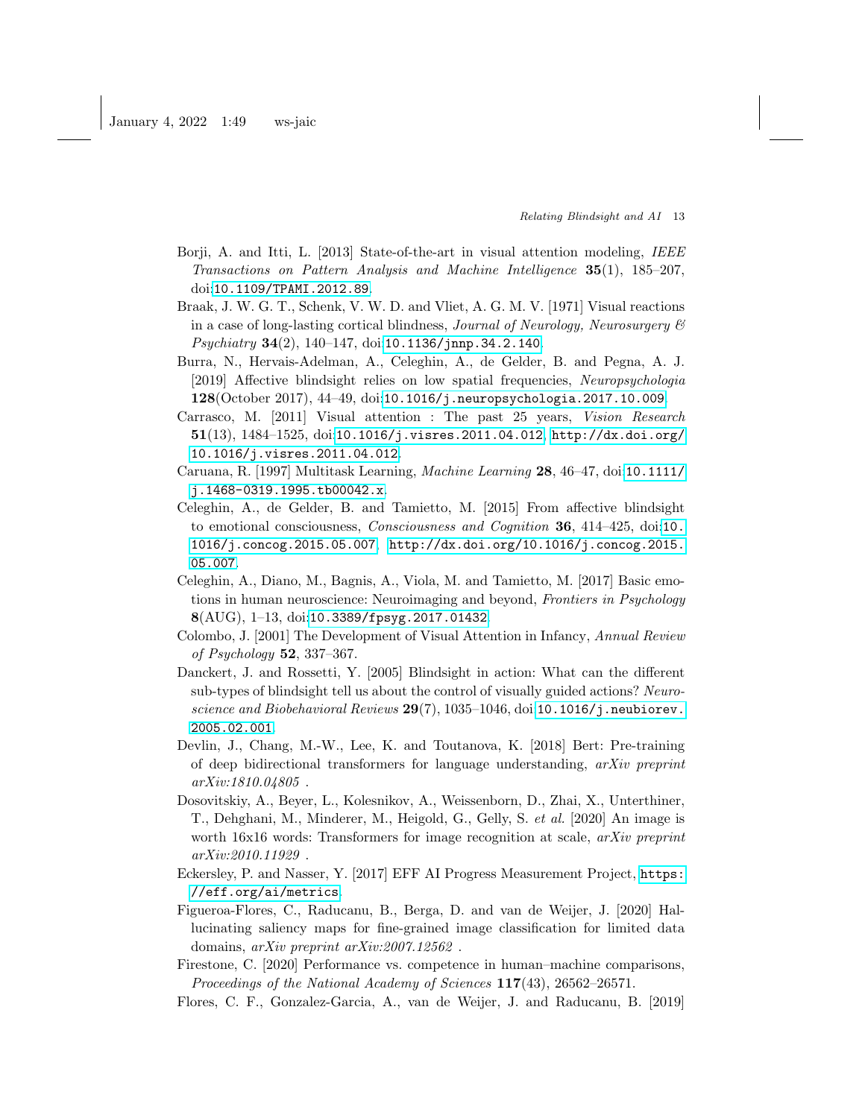- <span id="page-12-10"></span>Borji, A. and Itti, L. [2013] State-of-the-art in visual attention modeling, IEEE Transactions on Pattern Analysis and Machine Intelligence 35(1), 185–207, doi:<10.1109/TPAMI.2012.89>.
- <span id="page-12-2"></span>Braak, J. W. G. T., Schenk, V. W. D. and Vliet, A. G. M. V. [1971] Visual reactions in a case of long-lasting cortical blindness, Journal of Neurology, Neurosurgery  $\mathscr C$  $Psychiatry 34(2), 140–147, doi:10.1136/95.34.2.140.$
- <span id="page-12-3"></span>Burra, N., Hervais-Adelman, A., Celeghin, A., de Gelder, B. and Pegna, A. J. [2019] Affective blindsight relies on low spatial frequencies, Neuropsychologia 128(October 2017), 44–49, doi:<10.1016/j.neuropsychologia.2017.10.009>.
- <span id="page-12-7"></span>Carrasco, M. [2011] Visual attention : The past 25 years, Vision Research 51(13), 1484–1525, doi:<10.1016/j.visres.2011.04.012>, [http://dx.doi.org/](http://dx.doi.org/10.1016/j.visres.2011.04.012) [10.1016/j.visres.2011.04.012](http://dx.doi.org/10.1016/j.visres.2011.04.012).
- <span id="page-12-9"></span>Caruana, R. [1997] Multitask Learning, Machine Learning 28, 46–47, doi:[10.1111/](10.1111/j.1468-0319.1995.tb00042.x) [j.1468-0319.1995.tb00042.x](10.1111/j.1468-0319.1995.tb00042.x).
- <span id="page-12-4"></span>Celeghin, A., de Gelder, B. and Tamietto, M. [2015] From affective blindsight to emotional consciousness, Consciousness and Cognition 36, 414–425, doi:[10.](10.1016/j.concog.2015.05.007) [1016/j.concog.2015.05.007](10.1016/j.concog.2015.05.007), [http://dx.doi.org/10.1016/j.concog.2015.](http://dx.doi.org/10.1016/j.concog.2015.05.007) [05.007](http://dx.doi.org/10.1016/j.concog.2015.05.007).
- <span id="page-12-5"></span>Celeghin, A., Diano, M., Bagnis, A., Viola, M. and Tamietto, M. [2017] Basic emotions in human neuroscience: Neuroimaging and beyond, Frontiers in Psychology  $8(AUG), 1-13, \text{doi:10.3389/fpsyg.}$ 2017.01432.
- <span id="page-12-8"></span>Colombo, J. [2001] The Development of Visual Attention in Infancy, Annual Review of Psychology 52, 337–367.
- <span id="page-12-6"></span>Danckert, J. and Rossetti, Y. [2005] Blindsight in action: What can the different sub-types of blindsight tell us about the control of visually guided actions? Neuro-science and Biobehavioral Reviews 29(7), 1035-1046, doi:[10.1016/j.neubiorev.](10.1016/j.neubiorev.2005.02.001) [2005.02.001](10.1016/j.neubiorev.2005.02.001).
- <span id="page-12-14"></span>Devlin, J., Chang, M.-W., Lee, K. and Toutanova, K. [2018] Bert: Pre-training of deep bidirectional transformers for language understanding, arXiv preprint arXiv:1810.04805 .
- <span id="page-12-11"></span>Dosovitskiy, A., Beyer, L., Kolesnikov, A., Weissenborn, D., Zhai, X., Unterthiner, T., Dehghani, M., Minderer, M., Heigold, G., Gelly, S. et al. [2020] An image is worth 16x16 words: Transformers for image recognition at scale, *arXiv preprint* arXiv:2010.11929 .
- <span id="page-12-0"></span>Eckersley, P. and Nasser, Y. [2017] EFF AI Progress Measurement Project, [https:](https://eff.org/ai/metrics) [//eff.org/ai/metrics](https://eff.org/ai/metrics).
- <span id="page-12-13"></span>Figueroa-Flores, C., Raducanu, B., Berga, D. and van de Weijer, J. [2020] Hallucinating saliency maps for fine-grained image classification for limited data domains, arXiv preprint arXiv:2007.12562 .
- <span id="page-12-1"></span>Firestone, C. [2020] Performance vs. competence in human–machine comparisons, Proceedings of the National Academy of Sciences 117(43), 26562–26571.
- <span id="page-12-12"></span>Flores, C. F., Gonzalez-Garcia, A., van de Weijer, J. and Raducanu, B. [2019]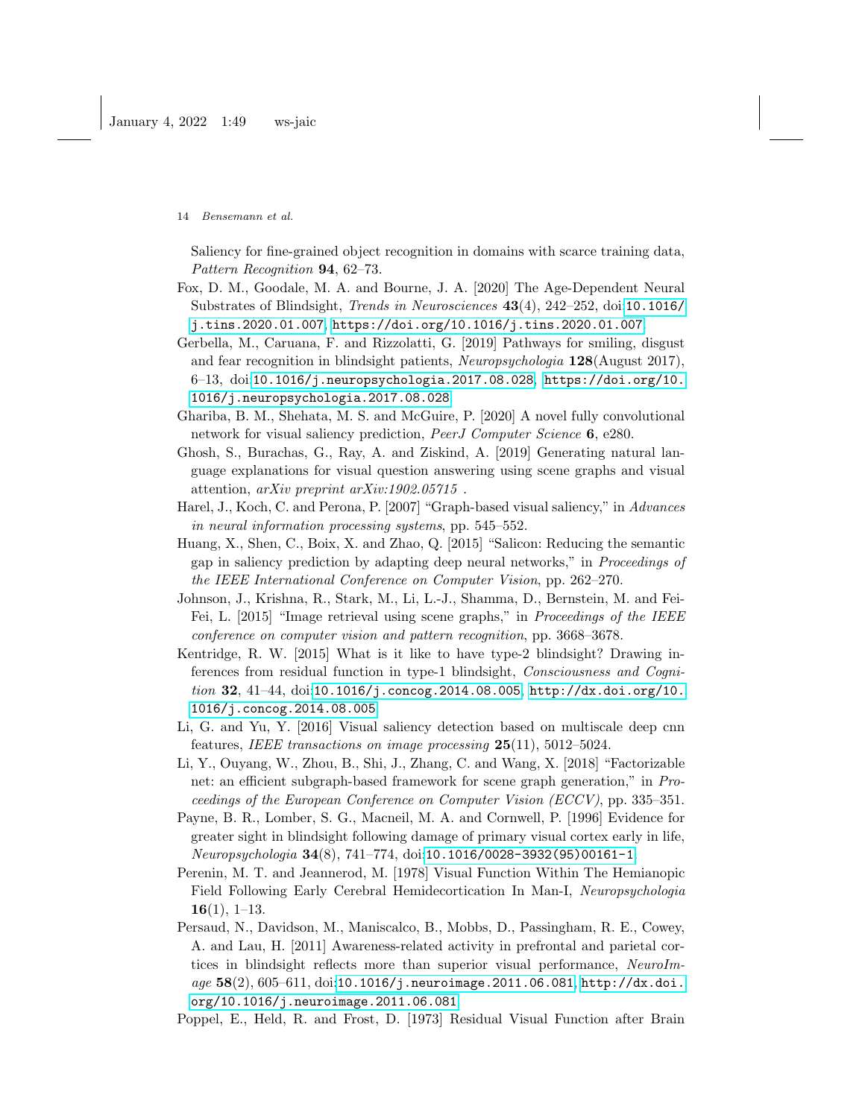Saliency for fine-grained object recognition in domains with scarce training data, Pattern Recognition 94, 62–73.

- <span id="page-13-0"></span>Fox, D. M., Goodale, M. A. and Bourne, J. A. [2020] The Age-Dependent Neural Substrates of Blindsight, Trends in Neurosciences 43(4), 242–252, doi:[10.1016/](10.1016/j.tins.2020.01.007) [j.tins.2020.01.007](10.1016/j.tins.2020.01.007), <https://doi.org/10.1016/j.tins.2020.01.007>.
- <span id="page-13-6"></span>Gerbella, M., Caruana, F. and Rizzolatti, G. [2019] Pathways for smiling, disgust and fear recognition in blindsight patients, Neuropsychologia 128(August 2017), 6–13, doi:<10.1016/j.neuropsychologia.2017.08.028>, [https://doi.org/10.](https://doi.org/10.1016/j.neuropsychologia.2017.08.028) [1016/j.neuropsychologia.2017.08.028](https://doi.org/10.1016/j.neuropsychologia.2017.08.028).
- <span id="page-13-11"></span>Ghariba, B. M., Shehata, M. S. and McGuire, P. [2020] A novel fully convolutional network for visual saliency prediction, PeerJ Computer Science 6, e280.
- <span id="page-13-9"></span>Ghosh, S., Burachas, G., Ray, A. and Ziskind, A. [2019] Generating natural language explanations for visual question answering using scene graphs and visual attention, arXiv preprint arXiv:1902.05715 .
- <span id="page-13-13"></span>Harel, J., Koch, C. and Perona, P. [2007] "Graph-based visual saliency," in Advances in neural information processing systems, pp. 545–552.
- <span id="page-13-12"></span>Huang, X., Shen, C., Boix, X. and Zhao, Q. [2015] "Salicon: Reducing the semantic gap in saliency prediction by adapting deep neural networks," in Proceedings of the IEEE International Conference on Computer Vision, pp. 262–270.
- <span id="page-13-7"></span>Johnson, J., Krishna, R., Stark, M., Li, L.-J., Shamma, D., Bernstein, M. and Fei-Fei, L. [2015] "Image retrieval using scene graphs," in Proceedings of the IEEE conference on computer vision and pattern recognition, pp. 3668–3678.
- <span id="page-13-5"></span>Kentridge, R. W. [2015] What is it like to have type-2 blindsight? Drawing inferences from residual function in type-1 blindsight, Consciousness and Cognition 32, 41–44, doi:<10.1016/j.concog.2014.08.005>, [http://dx.doi.org/10.](http://dx.doi.org/10.1016/j.concog.2014.08.005) [1016/j.concog.2014.08.005](http://dx.doi.org/10.1016/j.concog.2014.08.005).
- <span id="page-13-10"></span>Li, G. and Yu, Y. [2016] Visual saliency detection based on multiscale deep cnn features, IEEE transactions on image processing 25(11), 5012–5024.
- <span id="page-13-8"></span>Li, Y., Ouyang, W., Zhou, B., Shi, J., Zhang, C. and Wang, X. [2018] "Factorizable net: an efficient subgraph-based framework for scene graph generation," in Proceedings of the European Conference on Computer Vision (ECCV), pp. 335–351.
- <span id="page-13-1"></span>Payne, B. R., Lomber, S. G., Macneil, M. A. and Cornwell, P. [1996] Evidence for greater sight in blindsight following damage of primary visual cortex early in life, Neuropsychologia 34(8), 741–774, doi:[10.1016/0028-3932\(95\)00161-1](10.1016/0028-3932(95)00161-1).
- <span id="page-13-2"></span>Perenin, M. T. and Jeannerod, M. [1978] Visual Function Within The Hemianopic Field Following Early Cerebral Hemidecortication In Man-I, Neuropsychologia  $16(1), 1-13.$
- <span id="page-13-3"></span>Persaud, N., Davidson, M., Maniscalco, B., Mobbs, D., Passingham, R. E., Cowey, A. and Lau, H. [2011] Awareness-related activity in prefrontal and parietal cortices in blindsight reflects more than superior visual performance, NeuroIm- $age~58(2), 605–611, doi:10.1016/j.neuroimage.2011.06.081, http://dx.doi.$  $age~58(2), 605–611, doi:10.1016/j.neuroimage.2011.06.081, http://dx.doi.$  $age~58(2), 605–611, doi:10.1016/j.neuroimage.2011.06.081, http://dx.doi.$  $age~58(2), 605–611, doi:10.1016/j.neuroimage.2011.06.081, http://dx.doi.$ [org/10.1016/j.neuroimage.2011.06.081](http://dx.doi.org/10.1016/j.neuroimage.2011.06.081).
- <span id="page-13-4"></span>Poppel, E., Held, R. and Frost, D. [1973] Residual Visual Function after Brain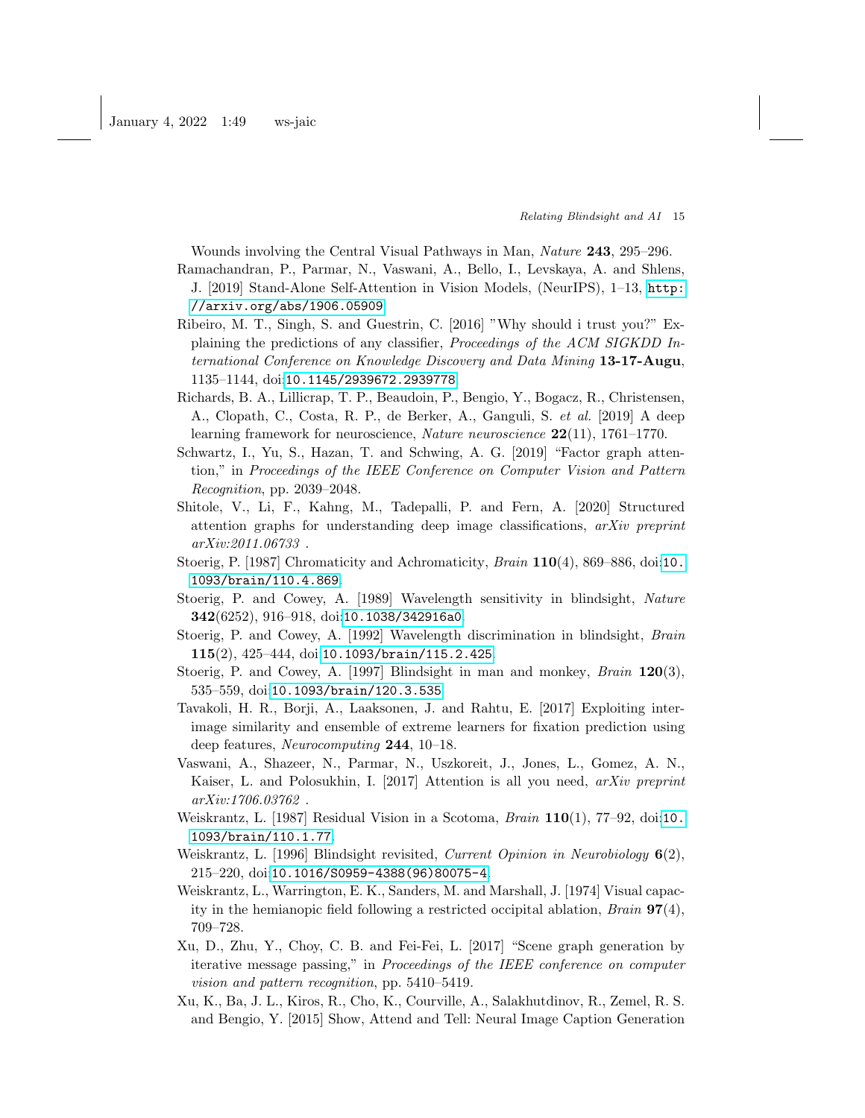Wounds involving the Central Visual Pathways in Man, Nature 243, 295–296.

- <span id="page-14-11"></span>Ramachandran, P., Parmar, N., Vaswani, A., Bello, I., Levskaya, A. and Shlens, J. [2019] Stand-Alone Self-Attention in Vision Models, (NeurIPS), 1–13, [http:](http://arxiv.org/abs/1906.05909) [//arxiv.org/abs/1906.05909](http://arxiv.org/abs/1906.05909).
- <span id="page-14-7"></span>Ribeiro, M. T., Singh, S. and Guestrin, C. [2016] "Why should i trust you?" Explaining the predictions of any classifier, Proceedings of the ACM SIGKDD International Conference on Knowledge Discovery and Data Mining 13-17-Augu, 1135–1144, doi:<10.1145/2939672.2939778>.
- <span id="page-14-8"></span>Richards, B. A., Lillicrap, T. P., Beaudoin, P., Bengio, Y., Bogacz, R., Christensen, A., Clopath, C., Costa, R. P., de Berker, A., Ganguli, S. et al. [2019] A deep learning framework for neuroscience, Nature neuroscience  $22(11)$ , 1761–1770.
- <span id="page-14-13"></span>Schwartz, I., Yu, S., Hazan, T. and Schwing, A. G. [2019] "Factor graph attention," in Proceedings of the IEEE Conference on Computer Vision and Pattern Recognition, pp. 2039–2048.
- <span id="page-14-14"></span>Shitole, V., Li, F., Kahng, M., Tadepalli, P. and Fern, A. [2020] Structured attention graphs for understanding deep image classifications, arXiv preprint arXiv:2011.06733 .
- <span id="page-14-3"></span>Stoerig, P. [1987] Chromaticity and Achromaticity, *Brain* 110(4), 869–886, doi:[10.](10.1093/brain/110.4.869) [1093/brain/110.4.869](10.1093/brain/110.4.869).
- <span id="page-14-4"></span>Stoerig, P. and Cowey, A. [1989] Wavelength sensitivity in blindsight, Nature 342(6252), 916–918, doi:<10.1038/342916a0>.
- <span id="page-14-5"></span>Stoerig, P. and Cowey, A. [1992] Wavelength discrimination in blindsight, Brain 115(2), 425–444, doi:<10.1093/brain/115.2.425>.
- <span id="page-14-0"></span>Stoerig, P. and Cowey, A. [1997] Blindsight in man and monkey, *Brain* 120(3), 535–559, doi:<10.1093/brain/120.3.535>.
- <span id="page-14-15"></span>Tavakoli, H. R., Borji, A., Laaksonen, J. and Rahtu, E. [2017] Exploiting interimage similarity and ensemble of extreme learners for fixation prediction using deep features, Neurocomputing 244, 10–18.
- <span id="page-14-10"></span>Vaswani, A., Shazeer, N., Parmar, N., Uszkoreit, J., Jones, L., Gomez, A. N., Kaiser, L. and Polosukhin, I. [2017] Attention is all you need, arXiv preprint arXiv:1706.03762 .
- <span id="page-14-6"></span>Weiskrantz, L. [1987] Residual Vision in a Scotoma,  $Brain 110(1), 77–92, \text{doi:10.}$  $Brain 110(1), 77–92, \text{doi:10.}$  $Brain 110(1), 77–92, \text{doi:10.}$ [1093/brain/110.1.77](10.1093/brain/110.1.77).
- <span id="page-14-1"></span>Weiskrantz, L. [1996] Blindsight revisited, Current Opinion in Neurobiology 6(2), 215–220, doi:[10.1016/S0959-4388\(96\)80075-4](10.1016/S0959-4388(96)80075-4).
- <span id="page-14-2"></span>Weiskrantz, L., Warrington, E. K., Sanders, M. and Marshall, J. [1974] Visual capacity in the hemianopic field following a restricted occipital ablation,  $Brain \, 97(4)$ , 709–728.
- <span id="page-14-12"></span>Xu, D., Zhu, Y., Choy, C. B. and Fei-Fei, L. [2017] "Scene graph generation by iterative message passing," in Proceedings of the IEEE conference on computer vision and pattern recognition, pp. 5410–5419.
- <span id="page-14-9"></span>Xu, K., Ba, J. L., Kiros, R., Cho, K., Courville, A., Salakhutdinov, R., Zemel, R. S. and Bengio, Y. [2015] Show, Attend and Tell: Neural Image Caption Generation